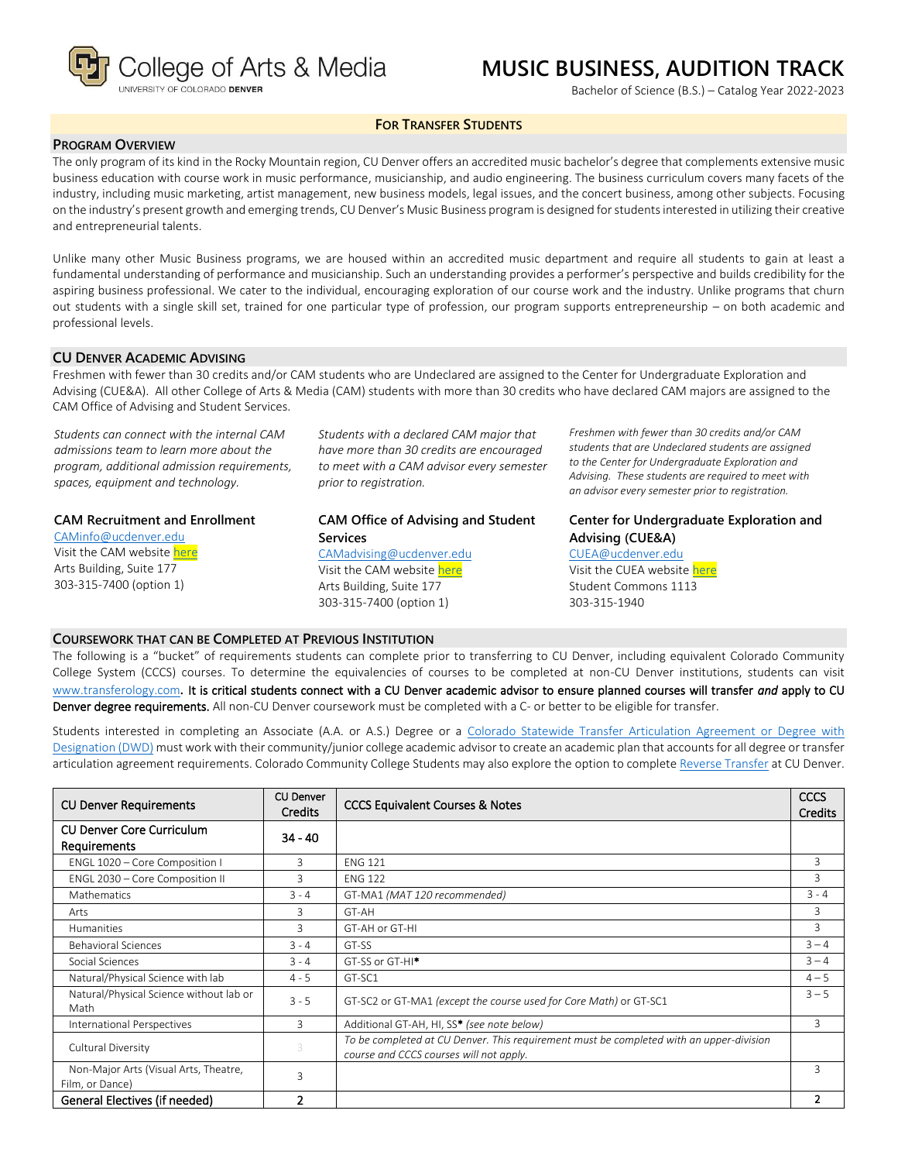

# **MUSIC BUSINESS, AUDITION TRACK**

Bachelor of Science (B.S.) – Catalog Year 2022-2023

## **FOR TRANSFER STUDENTS**

## **PROGRAM OVERVIEW**

The only program of its kind in the Rocky Mountain region, CU Denver offers an accredited music bachelor's degree that complements extensive music business education with course work in music performance, musicianship, and audio engineering. The business curriculum covers many facets of the industry, including music marketing, artist management, new business models, legal issues, and the concert business, among other subjects. Focusing on the industry's present growth and emerging trends, CU Denver's Music Business program is designed for students interested in utilizing their creative and entrepreneurial talents.

Unlike many other Music Business programs, we are housed within an accredited music department and require all students to gain at least a fundamental understanding of performance and musicianship. Such an understanding provides a performer's perspective and builds credibility for the aspiring business professional. We cater to the individual, encouraging exploration of our course work and the industry. Unlike programs that churn out students with a single skill set, trained for one particular type of profession, our program supports entrepreneurship – on both academic and professional levels.

## **CU DENVER ACADEMIC ADVISING**

Freshmen with fewer than 30 credits and/or CAM students who are Undeclared are assigned to the Center for Undergraduate Exploration and Advising (CUE&A). All other College of Arts & Media (CAM) students with more than 30 credits who have declared CAM majors are assigned to the CAM Office of Advising and Student Services.

*Students can connect with the internal CAM admissions team to learn more about the program, additional admission requirements, spaces, equipment and technology.*

#### **CAM Recruitment and Enrollment**

[CAMinfo@ucdenver.edu](mailto:CAMinfo@ucdenver.edu) Visit the CAM websit[e here](https://artsandmedia.ucdenver.edu/prospective-students/prospective-students) Arts Building, Suite 177 303-315-7400 (option 1)

*Students with a declared CAM major that have more than 30 credits are encouraged to meet with a CAM advisor every semester prior to registration.*

## **CAM Office of Advising and Student Services** [CAMadvising@ucdenver.edu](mailto:CAMadvising@ucdenver.edu)

Visit the CAM websit[e here](https://artsandmedia.ucdenver.edu/current-students/about-academic-advising) Arts Building, Suite 177 303-315-7400 (option 1)

*Freshmen with fewer than 30 credits and/or CAM students that are Undeclared students are assigned to the Center for Undergraduate Exploration and Advising. These students are required to meet with an advisor every semester prior to registration.*

**Center for Undergraduate Exploration and Advising (CUE&A)** [CUEA@ucdenver.edu](mailto:CUEA@ucdenver.edu)

Visit the CUEA websit[e here](https://www.ucdenver.edu/center-for-undergraduate-exploration-and-advising) Student Commons 1113 303-315-1940

#### **COURSEWORK THAT CAN BE COMPLETED AT PREVIOUS INSTITUTION**

The following is a "bucket" of requirements students can complete prior to transferring to CU Denver, including equivalent Colorado Community College System (CCCS) courses. To determine the equivalencies of courses to be completed at non-CU Denver institutions, students can visit [www.transferology.com](http://www.transferology.com/)**.** It is critical students connect with a CU Denver academic advisor to ensure planned courses will transfer *and* apply to CU Denver degree requirements. All non-CU Denver coursework must be completed with a C- or better to be eligible for transfer.

Students interested in completing an Associate (A.A. or A.S.) Degree or a [Colorado Statewide Transfer Articulation Agreement or Degree with](https://highered.colorado.gov/Academics/Transfers/TransferDegrees.html)  [Designation \(DWD\)](https://highered.colorado.gov/Academics/Transfers/TransferDegrees.html) must work with their community/junior college academic advisor to create an academic plan that accounts for all degree or transfer articulation agreement requirements. Colorado Community College Students may also explore the option to complet[e Reverse Transfer](https://degreewithinreach.wordpress.com/) at CU Denver.

| <b>CU Denver Requirements</b>                            | CU Denver<br><b>Credits</b> | <b>CCCS Equivalent Courses &amp; Notes</b>                                                                                         |         |  |
|----------------------------------------------------------|-----------------------------|------------------------------------------------------------------------------------------------------------------------------------|---------|--|
| <b>CU Denver Core Curriculum</b><br><b>Requirements</b>  | $34 - 40$                   |                                                                                                                                    |         |  |
| ENGL 1020 - Core Composition I                           | 3                           | <b>ENG 121</b>                                                                                                                     | 3       |  |
| ENGL 2030 - Core Composition II                          | 3                           | <b>ENG 122</b>                                                                                                                     | 3       |  |
| <b>Mathematics</b>                                       | $3 - 4$                     | GT-MA1 (MAT 120 recommended)                                                                                                       | $3 - 4$ |  |
| Arts                                                     | 3                           | GT-AH                                                                                                                              | 3       |  |
| <b>Humanities</b>                                        | 3                           | GT-AH or GT-HI                                                                                                                     | 3       |  |
| $3 - 4$<br><b>Behavioral Sciences</b>                    |                             | GT-SS                                                                                                                              |         |  |
| Social Sciences                                          | $3 - 4$                     | GT-SS or GT-HI <sup>*</sup>                                                                                                        | $3 - 4$ |  |
| Natural/Physical Science with lab                        | $4 - 5$                     | GT-SC1                                                                                                                             | $4 - 5$ |  |
| Natural/Physical Science without lab or<br>Math          | $3 - 5$                     | GT-SC2 or GT-MA1 (except the course used for Core Math) or GT-SC1                                                                  | $3 - 5$ |  |
| International Perspectives                               | 3                           | Additional GT-AH, HI, SS* (see note below)                                                                                         | 3       |  |
| Cultural Diversity                                       | 3                           | To be completed at CU Denver. This requirement must be completed with an upper-division<br>course and CCCS courses will not apply. |         |  |
| Non-Major Arts (Visual Arts, Theatre,<br>Film, or Dance) | 3                           |                                                                                                                                    | 3       |  |
| General Electives (if needed)                            | $\overline{2}$              |                                                                                                                                    | 2       |  |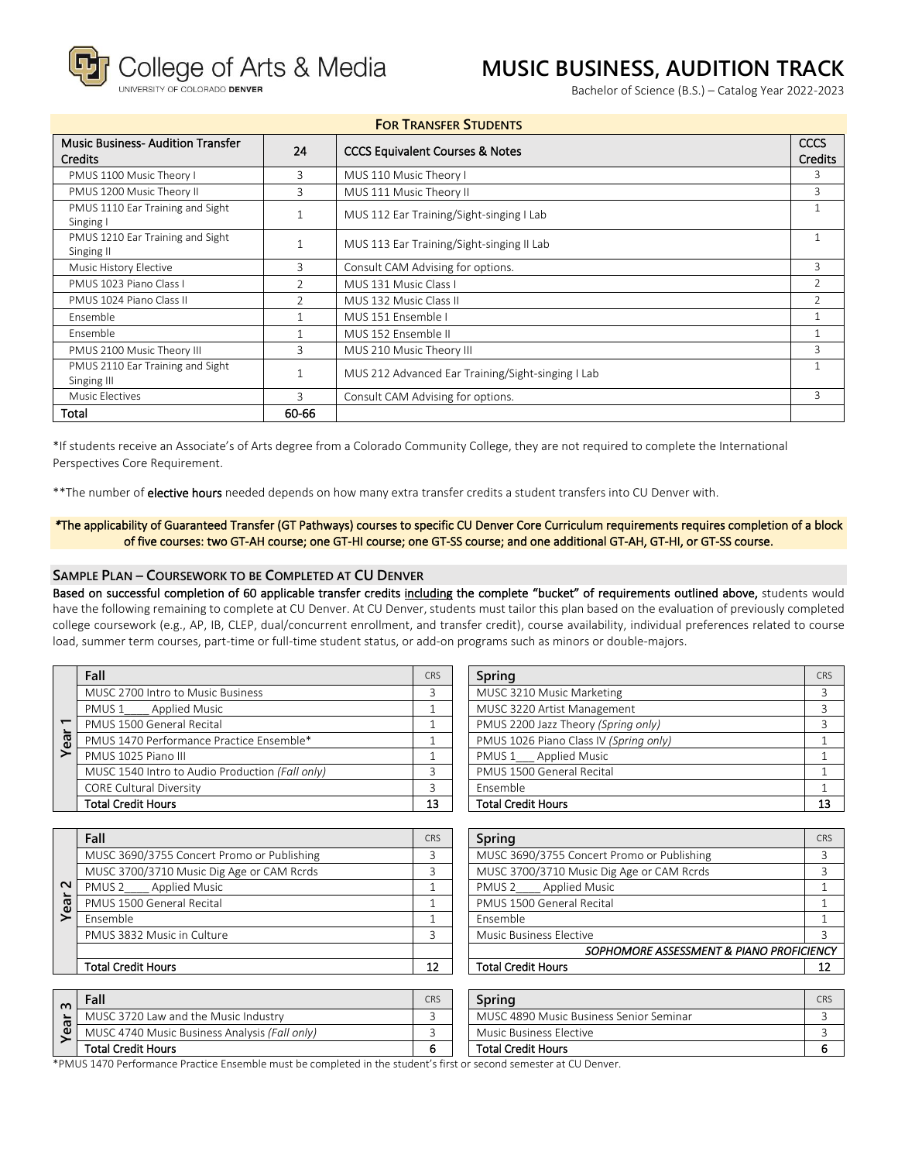ollege of Arts & Media

OF COLORADO DENVER

## **MUSIC BUSINESS, AUDITION TRACK**

Bachelor of Science (B.S.) – Catalog Year 2022-2023

| <b>FOR TRANSFER STUDENTS</b>                                    |       |                                                   |                               |  |  |  |
|-----------------------------------------------------------------|-------|---------------------------------------------------|-------------------------------|--|--|--|
| <b>Music Business-Audition Transfer</b><br>24<br><b>Credits</b> |       | <b>CCCS Equivalent Courses &amp; Notes</b>        | <b>CCCS</b><br><b>Credits</b> |  |  |  |
| PMUS 1100 Music Theory I                                        | 3     | MUS 110 Music Theory I                            |                               |  |  |  |
| PMUS 1200 Music Theory II                                       | 3     | MUS 111 Music Theory II                           | 3                             |  |  |  |
| PMUS 1110 Ear Training and Sight<br>Singing I                   |       | MUS 112 Ear Training/Sight-singing I Lab          | 1                             |  |  |  |
| PMUS 1210 Ear Training and Sight<br>Singing II                  |       | MUS 113 Ear Training/Sight-singing II Lab         |                               |  |  |  |
| Music History Elective<br>3                                     |       | Consult CAM Advising for options.                 | 3                             |  |  |  |
| PMUS 1023 Piano Class I                                         |       | MUS 131 Music Class I                             | $\overline{2}$                |  |  |  |
| PMUS 1024 Piano Class II<br>$\mathfrak{D}$                      |       | MUS 132 Music Class II                            | $\overline{2}$                |  |  |  |
| <b>Fnsemble</b>                                                 |       | MUS 151 Ensemble I                                | 1                             |  |  |  |
| Fnsemble                                                        |       | MUS 152 Ensemble II                               | 1                             |  |  |  |
| PMUS 2100 Music Theory III                                      | 3     | MUS 210 Music Theory III                          | 3                             |  |  |  |
| PMUS 2110 Ear Training and Sight<br>Singing III                 |       | MUS 212 Advanced Ear Training/Sight-singing I Lab |                               |  |  |  |
| Music Electives                                                 | 3     | Consult CAM Advising for options.                 | 3                             |  |  |  |
| Total                                                           | 60-66 |                                                   |                               |  |  |  |

\*If students receive an Associate's of Arts degree from a Colorado Community College, they are not required to complete the International Perspectives Core Requirement.

\*\*The number of elective hours needed depends on how many extra transfer credits a student transfers into CU Denver with.

## *\**The applicability of Guaranteed Transfer (GT Pathways) courses to specific CU Denver Core Curriculum requirements requires completion of a block of five courses: two GT-AH course; one GT-HI course; one GT-SS course; and one additional GT-AH, GT-HI, or GT-SS course.

## **SAMPLE PLAN – COURSEWORK TO BE COMPLETED AT CU DENVER**

Based on successful completion of 60 applicable transfer credits including the complete "bucket" of requirements outlined above, students would have the following remaining to complete at CU Denver. At CU Denver, students must tailor this plan based on the evaluation of previously completed college coursework (e.g., AP, IB, CLEP, dual/concurrent enrollment, and transfer credit), course availability, individual preferences related to course load, summer term courses, part-time or full-time student status, or add-on programs such as minors or double-majors.

|    | Fall                                            | <b>CRS</b> | Spring                                 | CR |
|----|-------------------------------------------------|------------|----------------------------------------|----|
|    | MUSC 2700 Intro to Music Business               |            | MUSC 3210 Music Marketing              |    |
|    | PMUS 1 Applied Music                            |            | MUSC 3220 Artist Management            |    |
|    | PMUS 1500 General Recital                       |            | PMUS 2200 Jazz Theory (Spring only)    |    |
| ea | PMUS 1470 Performance Practice Ensemble*        |            | PMUS 1026 Piano Class IV (Spring only) |    |
| ➢  | PMUS 1025 Piano III                             |            | PMUS 1 Applied Music                   |    |
|    | MUSC 1540 Intro to Audio Production (Fall only) |            | PMUS 1500 General Recital              |    |
|    | <b>CORE Cultural Diversity</b>                  |            | Ensemble                               |    |
|    | <b>Total Credit Hours</b>                       | 13         | <b>Total Credit Hours</b>              | 1: |

| Fall                                            | <b>CRS</b> | Spring                                 | <b>CRS</b> |
|-------------------------------------------------|------------|----------------------------------------|------------|
| MUSC 2700 Intro to Music Business               |            | MUSC 3210 Music Marketing              |            |
| PMUS 1____ Applied Music                        |            | MUSC 3220 Artist Management            |            |
| PMUS 1500 General Recital                       |            | PMUS 2200 Jazz Theory (Spring only)    |            |
| PMUS 1470 Performance Practice Ensemble*        |            | PMUS 1026 Piano Class IV (Spring only) |            |
| PMUS 1025 Piano III                             |            | PMUS 1 Applied Music                   |            |
| MUSC 1540 Intro to Audio Production (Fall only) |            | PMUS 1500 General Recital              |            |
| <b>CORE Cultural Diversity</b>                  |            | Ensemble                               |            |
| Total Credit Hours                              | 13         | <b>Total Credit Hours</b>              |            |
|                                                 |            |                                        |            |

|        | Fall                                       | <b>CRS</b> | Spring                                     | CR |
|--------|--------------------------------------------|------------|--------------------------------------------|----|
|        | MUSC 3690/3755 Concert Promo or Publishing |            | MUSC 3690/3755 Concert Promo or Publishing |    |
|        | MUSC 3700/3710 Music Dig Age or CAM Rcrds  |            | MUSC 3700/3710 Music Dig Age or CAM Rcrds  |    |
| $\sim$ | __ Applied Music<br>PMUS <sub>2</sub>      |            | PMUS 2 ____ Applied Music                  |    |
| Yea    | PMUS 1500 General Recital                  |            | PMUS 1500 General Recital                  |    |
|        | Ensemble                                   |            | Ensemble                                   |    |
|        | PMUS 3832 Music in Culture                 |            | Music Business Elective                    |    |
|        |                                            |            | SOPHOMORE ASSESSMENT & PIANO PROFICIEN     |    |
|        | <b>Total Credit Hours</b>                  | 12         | <b>Total Credit Hours</b>                  |    |

| Fall                                       | CRS | Spring                                     | <b>CRS</b> |
|--------------------------------------------|-----|--------------------------------------------|------------|
| MUSC 3690/3755 Concert Promo or Publishing |     | MUSC 3690/3755 Concert Promo or Publishing |            |
| MUSC 3700/3710 Music Dig Age or CAM Rcrds  |     | MUSC 3700/3710 Music Dig Age or CAM Rcrds  |            |
| PMUS 2 Applied Music                       |     | <b>Applied Music</b><br>PMUS <sub>2</sub>  |            |
| PMUS 1500 General Recital                  |     | PMUS 1500 General Recital                  |            |
| Ensemble                                   |     | Ensemble                                   |            |
| PMUS 3832 Music in Culture                 |     | <b>Music Business Elective</b>             |            |
|                                            |     | SOPHOMORE ASSESSMENT & PIANO PROFICIENCY   |            |
| Total Credit Hours                         | 12  | <b>Total Credit Hours</b>                  |            |

| $\sim$ | Fall                                          | CRS | Sprina                                  | CRS |
|--------|-----------------------------------------------|-----|-----------------------------------------|-----|
| ൹      | MUSC 3720 Law and the Music Industry          |     | MUSC 4890 Music Business Senior Seminar |     |
| ധ      | MUSC 4740 Music Business Analysis (Fall only) |     | Music Business Elective                 |     |
|        | <b>Total Credit Hours</b>                     |     | <b>Total Credit Hours</b>               |     |

\*PMUS 1470 Performance Practice Ensemble must be completed in the student's first or second semester at CU Denver.